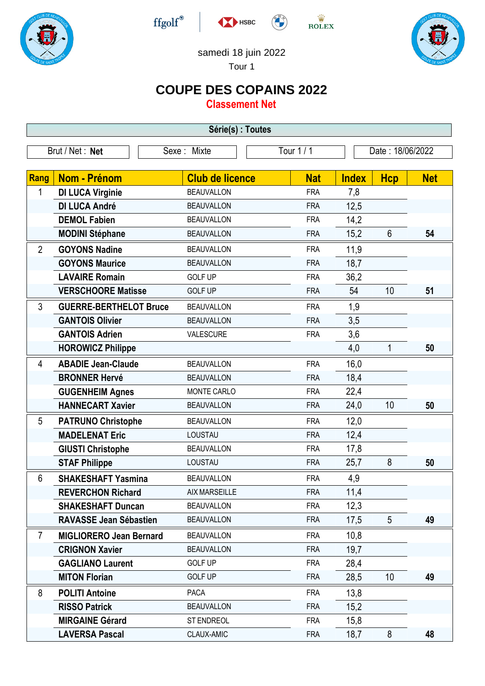







## samedi 18 juin 2022

HSBC

Tour 1

## **COUPE DES COPAINS 2022**

**Classement Net**

| Série(s) : Toutes |                                |                        |            |                  |                |            |  |
|-------------------|--------------------------------|------------------------|------------|------------------|----------------|------------|--|
| Brut / Net: Net   |                                | Sexe: Mixte            | Tour 1 / 1 | Date: 18/06/2022 |                |            |  |
|                   |                                |                        |            |                  |                |            |  |
| Rang              | <b>Nom - Prénom</b>            | <b>Club de licence</b> | <b>Nat</b> | <b>Index</b>     | <b>Hcp</b>     | <b>Net</b> |  |
| 1                 | <b>DI LUCA Virginie</b>        | <b>BEAUVALLON</b>      | <b>FRA</b> | 7,8              |                |            |  |
|                   | <b>DI LUCA André</b>           | <b>BEAUVALLON</b>      | <b>FRA</b> | 12,5             |                |            |  |
|                   | <b>DEMOL Fabien</b>            | <b>BEAUVALLON</b>      | <b>FRA</b> | 14,2             |                |            |  |
|                   | <b>MODINI Stéphane</b>         | <b>BEAUVALLON</b>      | <b>FRA</b> | 15,2             | $6\phantom{1}$ | 54         |  |
| $\overline{2}$    | <b>GOYONS Nadine</b>           | <b>BEAUVALLON</b>      | <b>FRA</b> | 11,9             |                |            |  |
|                   | <b>GOYONS Maurice</b>          | <b>BEAUVALLON</b>      | <b>FRA</b> | 18,7             |                |            |  |
|                   | <b>LAVAIRE Romain</b>          | <b>GOLF UP</b>         | <b>FRA</b> | 36,2             |                |            |  |
|                   | <b>VERSCHOORE Matisse</b>      | <b>GOLF UP</b>         | <b>FRA</b> | 54               | 10             | 51         |  |
| 3                 | <b>GUERRE-BERTHELOT Bruce</b>  | <b>BEAUVALLON</b>      | <b>FRA</b> | 1,9              |                |            |  |
|                   | <b>GANTOIS Olivier</b>         | <b>BEAUVALLON</b>      | <b>FRA</b> | 3,5              |                |            |  |
|                   | <b>GANTOIS Adrien</b>          | VALESCURE              | <b>FRA</b> | 3,6              |                |            |  |
|                   | <b>HOROWICZ Philippe</b>       |                        |            | 4,0              | 1              | 50         |  |
| 4                 | <b>ABADIE Jean-Claude</b>      | <b>BEAUVALLON</b>      | <b>FRA</b> | 16,0             |                |            |  |
|                   | <b>BRONNER Hervé</b>           | <b>BEAUVALLON</b>      | <b>FRA</b> | 18,4             |                |            |  |
|                   | <b>GUGENHEIM Agnes</b>         | MONTE CARLO            | <b>FRA</b> | 22,4             |                |            |  |
|                   | <b>HANNECART Xavier</b>        | <b>BEAUVALLON</b>      | <b>FRA</b> | 24,0             | 10             | 50         |  |
| 5                 | <b>PATRUNO Christophe</b>      | <b>BEAUVALLON</b>      | <b>FRA</b> | 12,0             |                |            |  |
|                   | <b>MADELENAT Eric</b>          | LOUSTAU                | <b>FRA</b> | 12,4             |                |            |  |
|                   | <b>GIUSTI Christophe</b>       | <b>BEAUVALLON</b>      | <b>FRA</b> | 17,8             |                |            |  |
|                   | <b>STAF Philippe</b>           | LOUSTAU                | <b>FRA</b> | 25,7             | 8              | 50         |  |
| 6                 | <b>SHAKESHAFT Yasmina</b>      | <b>BEAUVALLON</b>      | <b>FRA</b> | 4,9              |                |            |  |
|                   | <b>REVERCHON Richard</b>       | <b>AIX MARSEILLE</b>   | <b>FRA</b> | 11,4             |                |            |  |
|                   | <b>SHAKESHAFT Duncan</b>       | <b>BEAUVALLON</b>      | <b>FRA</b> | 12,3             |                |            |  |
|                   | <b>RAVASSE Jean Sébastien</b>  | <b>BEAUVALLON</b>      | <b>FRA</b> | 17,5             | $\overline{5}$ | 49         |  |
| $\overline{7}$    | <b>MIGLIORERO Jean Bernard</b> | <b>BEAUVALLON</b>      | <b>FRA</b> | 10,8             |                |            |  |
|                   | <b>CRIGNON Xavier</b>          | <b>BEAUVALLON</b>      | <b>FRA</b> | 19,7             |                |            |  |
|                   | <b>GAGLIANO Laurent</b>        | <b>GOLF UP</b>         | <b>FRA</b> | 28,4             |                |            |  |
|                   | <b>MITON Florian</b>           | <b>GOLF UP</b>         | <b>FRA</b> | 28,5             | 10             | 49         |  |
| 8                 | <b>POLITI Antoine</b>          | <b>PACA</b>            | <b>FRA</b> | 13,8             |                |            |  |
|                   | <b>RISSO Patrick</b>           | <b>BEAUVALLON</b>      | <b>FRA</b> | 15,2             |                |            |  |
|                   | <b>MIRGAINE Gérard</b>         | <b>ST ENDREOL</b>      | <b>FRA</b> | 15,8             |                |            |  |
|                   | <b>LAVERSA Pascal</b>          | CLAUX-AMIC             | <b>FRA</b> | 18,7             | 8              | 48         |  |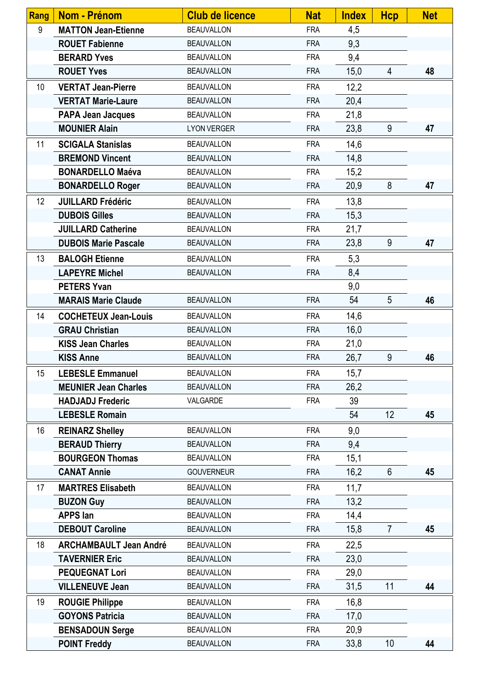| <b>Rang</b>     | Nom - Prénom                  | <b>Club de licence</b> | <b>Nat</b> | <b>Index</b> | <b>Hcp</b>     | <b>Net</b> |
|-----------------|-------------------------------|------------------------|------------|--------------|----------------|------------|
| 9               | <b>MATTON Jean-Etienne</b>    | <b>BEAUVALLON</b>      | <b>FRA</b> | 4,5          |                |            |
|                 | <b>ROUET Fabienne</b>         | <b>BEAUVALLON</b>      | <b>FRA</b> | 9,3          |                |            |
|                 | <b>BERARD Yves</b>            | <b>BEAUVALLON</b>      | <b>FRA</b> | 9,4          |                |            |
|                 | <b>ROUET Yves</b>             | <b>BEAUVALLON</b>      | <b>FRA</b> | 15,0         | 4              | 48         |
| 10 <sup>1</sup> | <b>VERTAT Jean-Pierre</b>     | <b>BEAUVALLON</b>      | <b>FRA</b> | 12,2         |                |            |
|                 | <b>VERTAT Marie-Laure</b>     | <b>BEAUVALLON</b>      | <b>FRA</b> | 20,4         |                |            |
|                 | <b>PAPA Jean Jacques</b>      | <b>BEAUVALLON</b>      | <b>FRA</b> | 21,8         |                |            |
|                 | <b>MOUNIER Alain</b>          | <b>LYON VERGER</b>     | <b>FRA</b> | 23,8         | 9              | 47         |
| 11              | <b>SCIGALA Stanislas</b>      | <b>BEAUVALLON</b>      | <b>FRA</b> | 14,6         |                |            |
|                 | <b>BREMOND Vincent</b>        | <b>BEAUVALLON</b>      | <b>FRA</b> | 14,8         |                |            |
|                 | <b>BONARDELLO Maéva</b>       | <b>BEAUVALLON</b>      | <b>FRA</b> | 15,2         |                |            |
|                 | <b>BONARDELLO Roger</b>       | <b>BEAUVALLON</b>      | <b>FRA</b> | 20,9         | 8              | 47         |
| 12              | <b>JUILLARD Frédéric</b>      | <b>BEAUVALLON</b>      | <b>FRA</b> | 13,8         |                |            |
|                 | <b>DUBOIS Gilles</b>          | <b>BEAUVALLON</b>      | <b>FRA</b> | 15,3         |                |            |
|                 | <b>JUILLARD Catherine</b>     | <b>BEAUVALLON</b>      | <b>FRA</b> | 21,7         |                |            |
|                 | <b>DUBOIS Marie Pascale</b>   | <b>BEAUVALLON</b>      | <b>FRA</b> | 23,8         | 9              | 47         |
| 13              | <b>BALOGH Etienne</b>         | <b>BEAUVALLON</b>      | <b>FRA</b> | 5,3          |                |            |
|                 | <b>LAPEYRE Michel</b>         | <b>BEAUVALLON</b>      | <b>FRA</b> | 8,4          |                |            |
|                 | <b>PETERS Yvan</b>            |                        |            | 9,0          |                |            |
|                 | <b>MARAIS Marie Claude</b>    | <b>BEAUVALLON</b>      | <b>FRA</b> | 54           | 5              | 46         |
| 14              | <b>COCHETEUX Jean-Louis</b>   | <b>BEAUVALLON</b>      | <b>FRA</b> | 14,6         |                |            |
|                 | <b>GRAU Christian</b>         | <b>BEAUVALLON</b>      | <b>FRA</b> | 16,0         |                |            |
|                 | <b>KISS Jean Charles</b>      | <b>BEAUVALLON</b>      | <b>FRA</b> | 21,0         |                |            |
|                 | <b>KISS Anne</b>              | <b>BEAUVALLON</b>      | <b>FRA</b> | 26,7         | 9              | 46         |
| 15              | <b>LEBESLE Emmanuel</b>       | <b>BEAUVALLON</b>      | <b>FRA</b> | 15,7         |                |            |
|                 | <b>MEUNIER Jean Charles</b>   | <b>BEAUVALLON</b>      | <b>FRA</b> | 26,2         |                |            |
|                 | <b>HADJADJ Frederic</b>       | VALGARDE               | <b>FRA</b> | 39           |                |            |
|                 | <b>LEBESLE Romain</b>         |                        |            | 54           | 12             | 45         |
| 16              | <b>REINARZ Shelley</b>        | <b>BEAUVALLON</b>      | <b>FRA</b> | 9,0          |                |            |
|                 | <b>BERAUD Thierry</b>         | <b>BEAUVALLON</b>      | <b>FRA</b> | 9,4          |                |            |
|                 | <b>BOURGEON Thomas</b>        | <b>BEAUVALLON</b>      | <b>FRA</b> | 15,1         |                |            |
|                 | <b>CANAT Annie</b>            | <b>GOUVERNEUR</b>      | <b>FRA</b> | 16,2         | 6              | 45         |
| 17              | <b>MARTRES Elisabeth</b>      | <b>BEAUVALLON</b>      | <b>FRA</b> | 11,7         |                |            |
|                 | <b>BUZON Guy</b>              | <b>BEAUVALLON</b>      | <b>FRA</b> | 13,2         |                |            |
|                 | <b>APPS lan</b>               | <b>BEAUVALLON</b>      | <b>FRA</b> | 14,4         |                |            |
|                 | <b>DEBOUT Caroline</b>        | <b>BEAUVALLON</b>      | <b>FRA</b> | 15,8         | $\overline{7}$ | 45         |
| 18              | <b>ARCHAMBAULT Jean André</b> | <b>BEAUVALLON</b>      | <b>FRA</b> | 22,5         |                |            |
|                 | <b>TAVERNIER Eric</b>         | <b>BEAUVALLON</b>      | <b>FRA</b> | 23,0         |                |            |
|                 | <b>PEQUEGNAT Lori</b>         | <b>BEAUVALLON</b>      | <b>FRA</b> | 29,0         |                |            |
|                 | <b>VILLENEUVE Jean</b>        | <b>BEAUVALLON</b>      | <b>FRA</b> | 31,5         | 11             | 44         |
| 19              | <b>ROUGIE Philippe</b>        | <b>BEAUVALLON</b>      | <b>FRA</b> | 16,8         |                |            |
|                 | <b>GOYONS Patricia</b>        | <b>BEAUVALLON</b>      | <b>FRA</b> | 17,0         |                |            |
|                 | <b>BENSADOUN Serge</b>        | <b>BEAUVALLON</b>      | <b>FRA</b> | 20,9         |                |            |
|                 | <b>POINT Freddy</b>           | <b>BEAUVALLON</b>      | <b>FRA</b> | 33,8         | 10             | 44         |